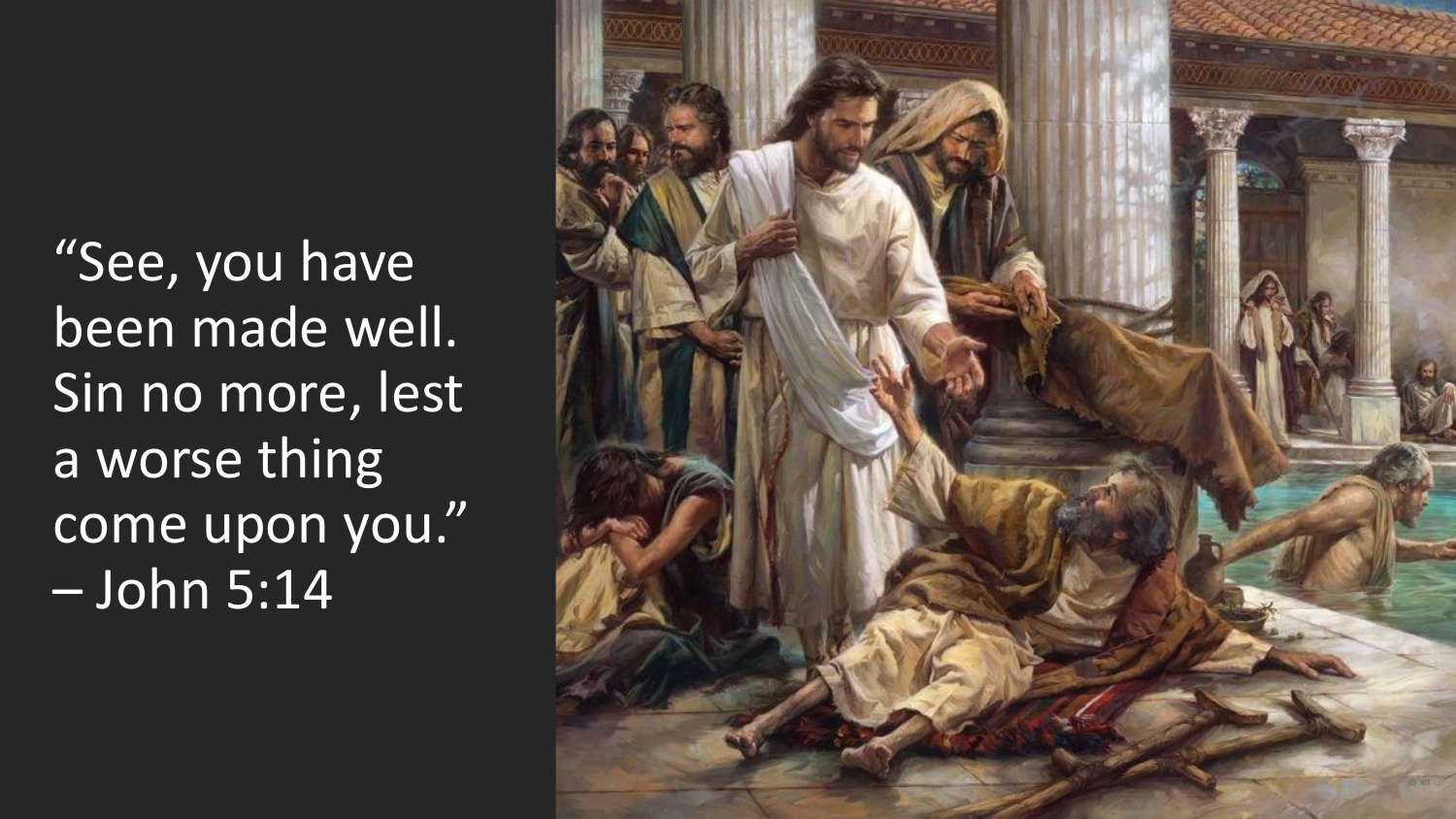"See, you have been made well. Sin no more, lest a worse thing come upon you." – John 5:14

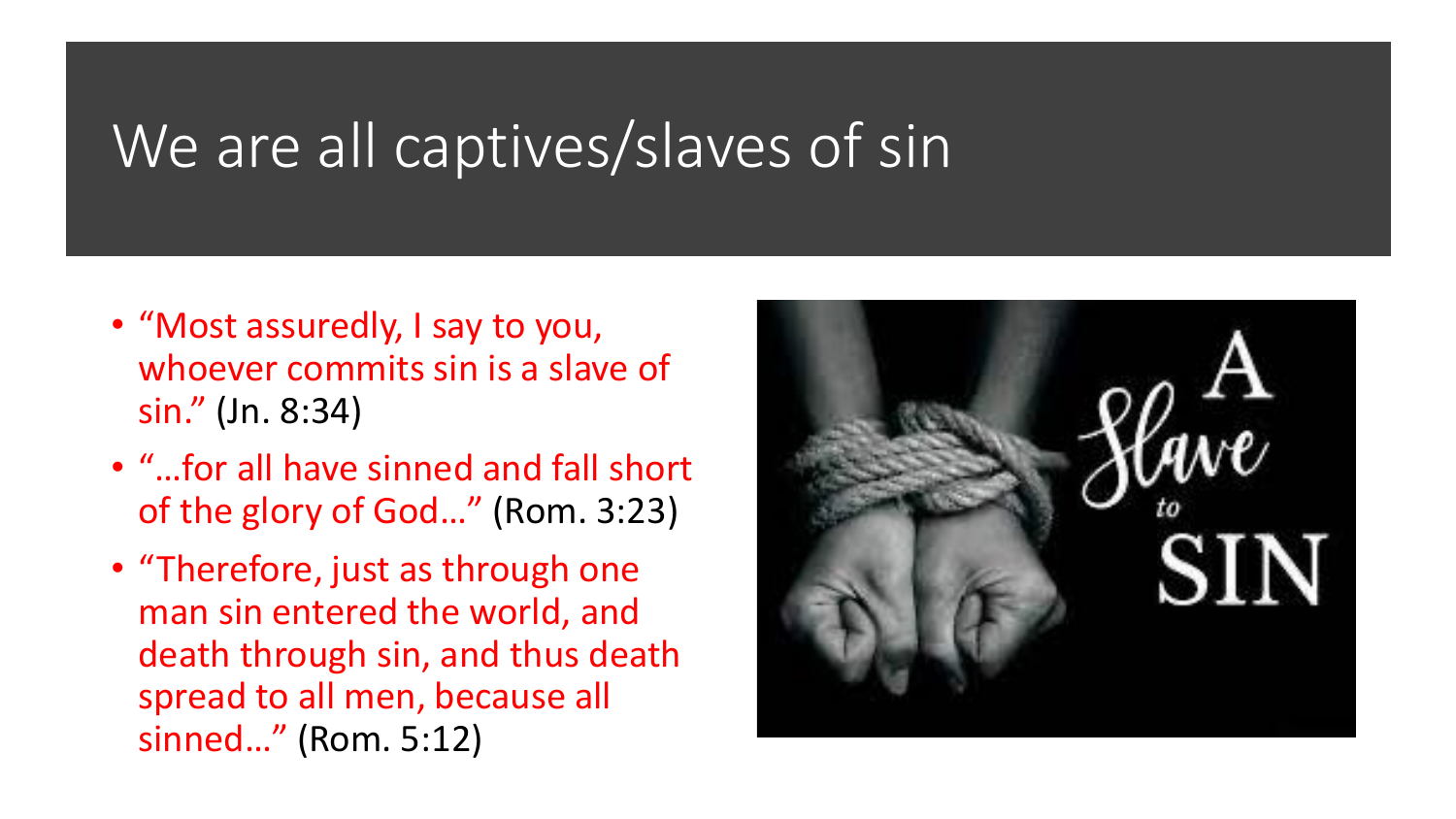#### We are all captives/slaves of sin

- "Most assuredly, I say to you, whoever commits sin is a slave of sin." (Jn. 8:34)
- "…for all have sinned and fall short of the glory of God…" (Rom. 3:23)
- "Therefore, just as through one man sin entered the world, and death through sin, and thus death spread to all men, because all sinned…" (Rom. 5:12)

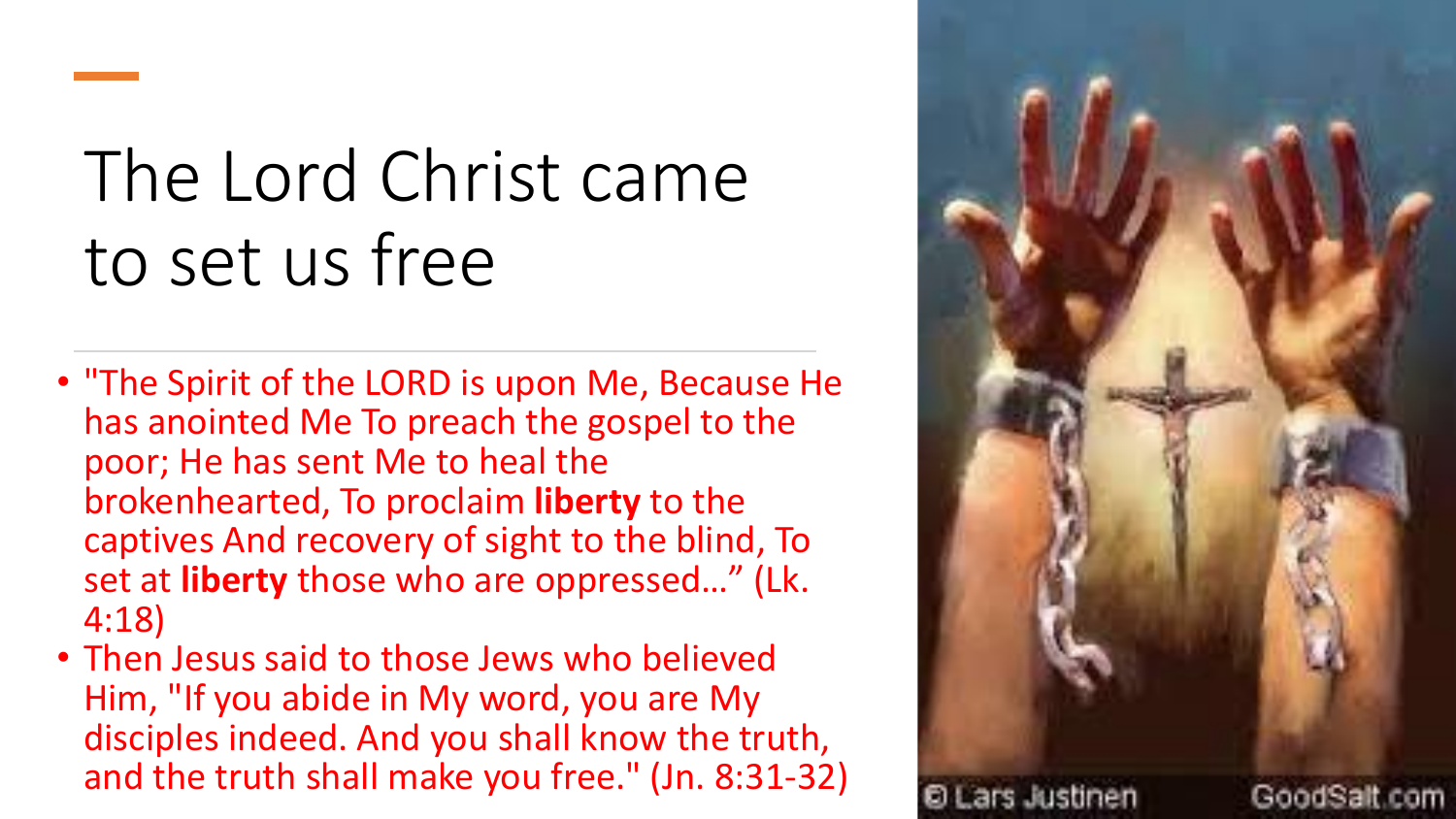# The Lord Christ came to set us free

- "The Spirit of the LORD is upon Me, Because He has anointed Me To preach the gospel to the poor; He has sent Me to heal the brokenhearted, To proclaim **liberty** to the captives And recovery of sight to the blind, To set at **liberty** those who are oppressed…" (Lk. 4:18)
- Then Jesus said to those Jews who believed Him, "If you abide in My word, you are My disciples indeed. And you shall know the truth, and the truth shall make you free." (Jn. 8:31-32)

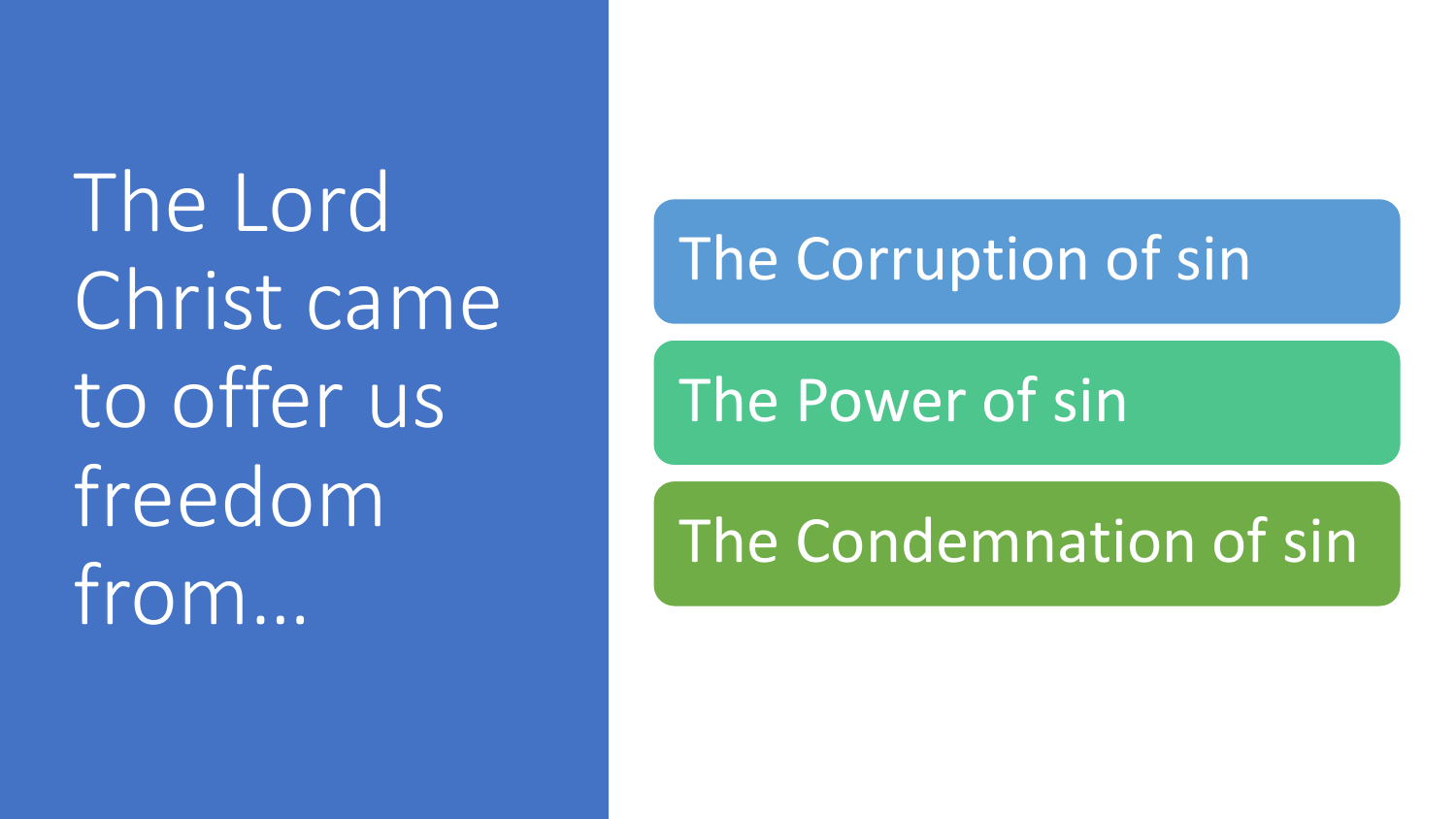The Lord Christ came to offer us freedom from…

#### The Corruption of sin

The Power of sin

### The Condemnation of sin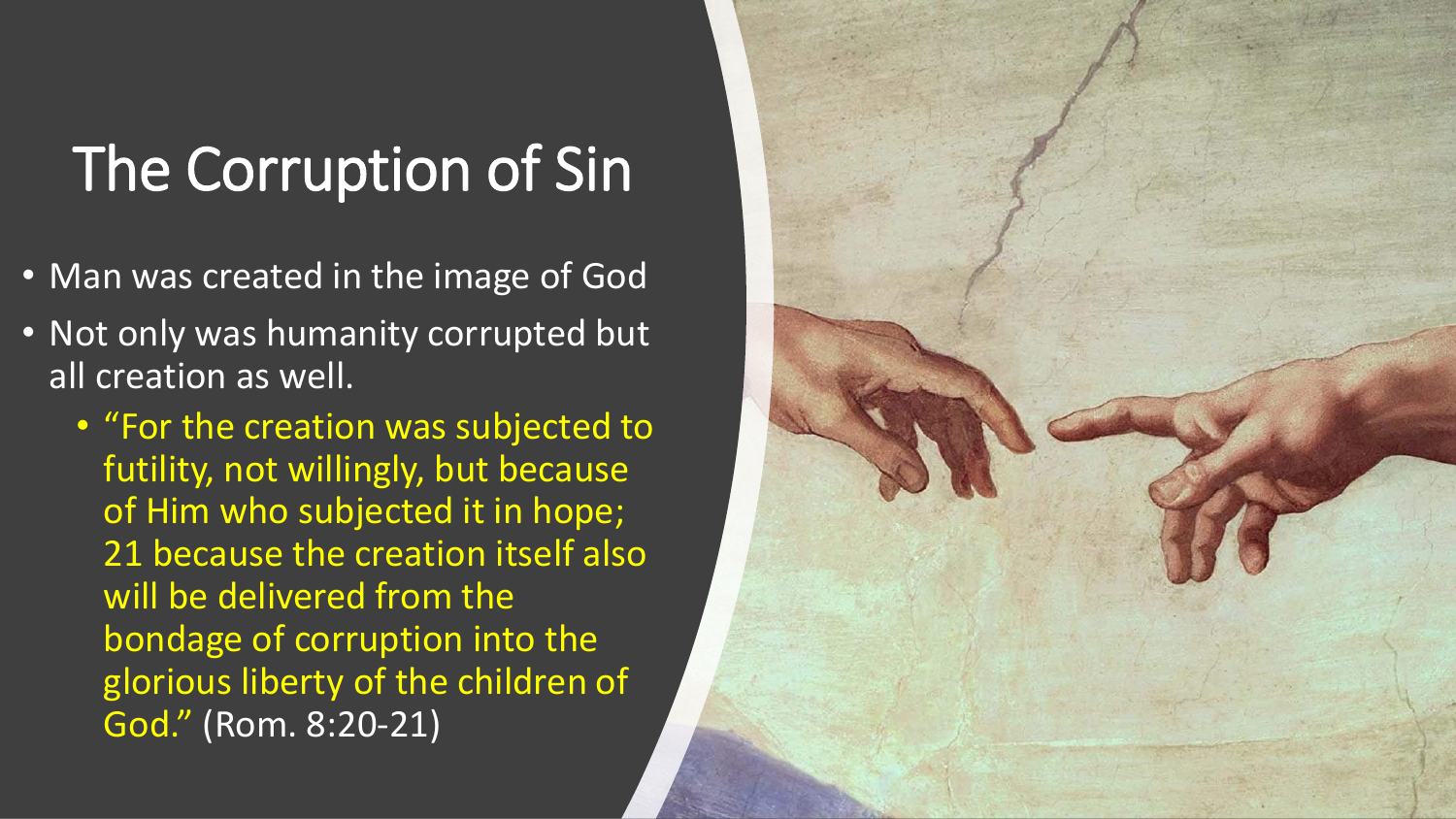### The Corruption of Sin

- Man was created in the image of God
- Not only was humanity corrupted but all creation as well.
	- "For the creation was subjected to futility, not willingly, but because of Him who subjected it in hope; 21 because the creation itself also will be delivered from the bondage of corruption into the glorious liberty of the children of God." (Rom. 8:20-21)

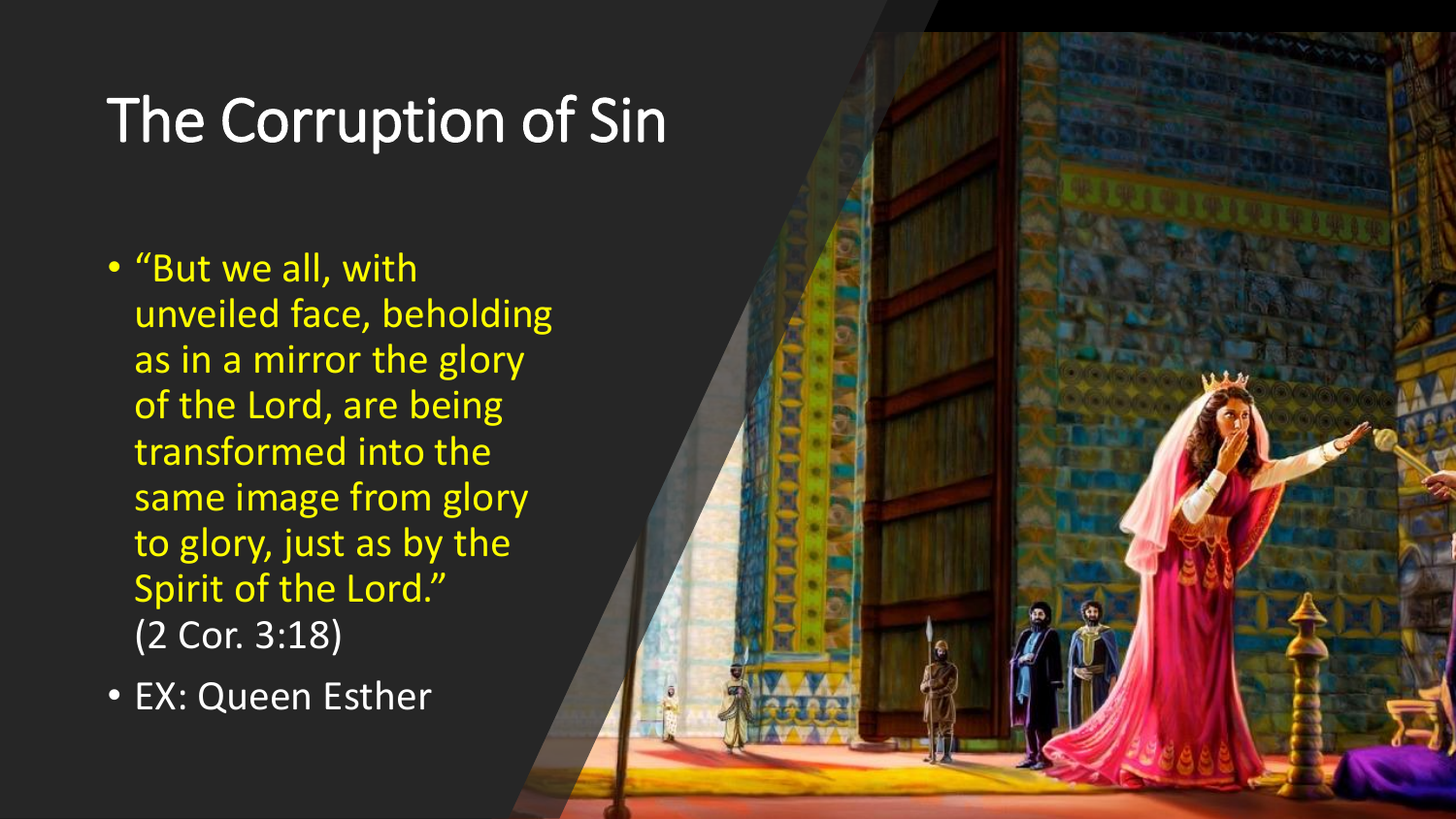### The Corruption of Sin

- "But we all, with unveiled face, beholding as in a mirror the glory of the Lord, are being transformed into the same image from glory to glory, just as by the Spirit of the Lord." (2 Cor. 3:18)
- EX: Queen Esther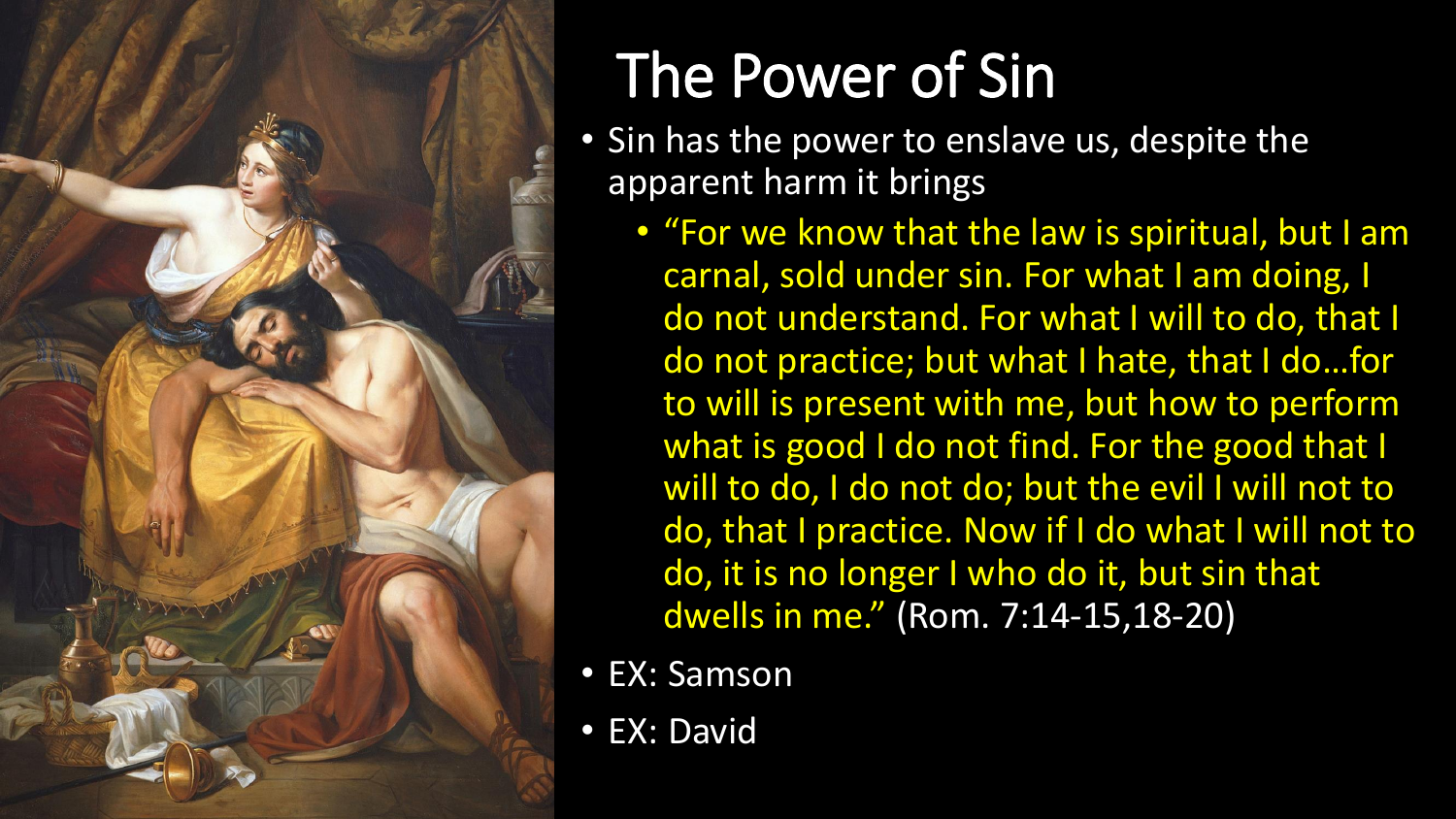

## The Power of Sin

- Sin has the power to enslave us, despite the apparent harm it brings
	- "For we know that the law is spiritual, but I am carnal, sold under sin. For what I am doing, I do not understand. For what I will to do, that I do not practice; but what I hate, that I do…for to will is present with me, but how to perform what is good I do not find. For the good that I will to do, I do not do; but the evil I will not to do, that I practice. Now if I do what I will not to do, it is no longer I who do it, but sin that dwells in me." (Rom. 7:14-15,18-20)
- EX: Samson
- EX: David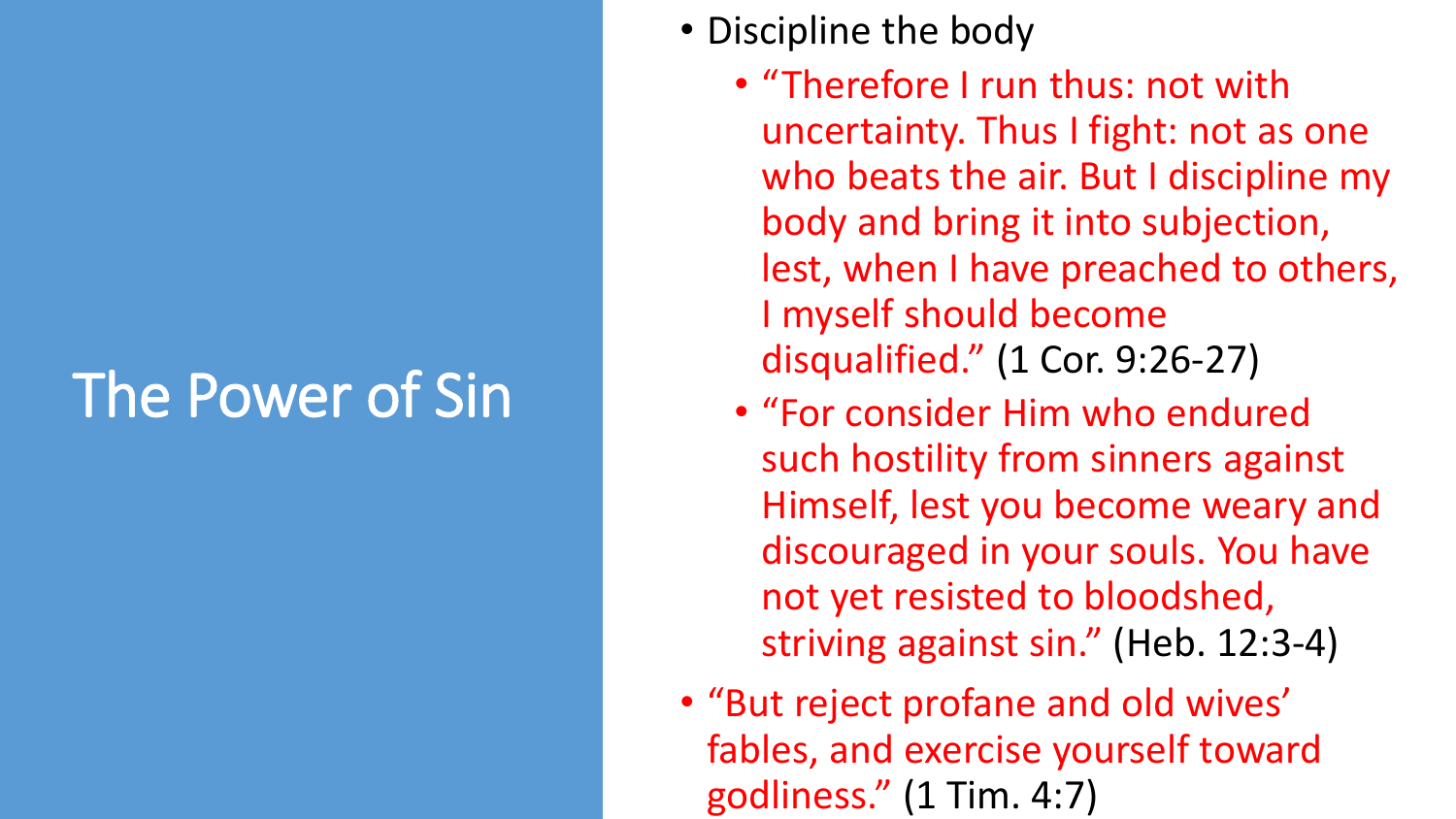### The Power of Sin

- Discipline the body
	- "Therefore I run thus: not with uncertainty. Thus I fight: not as one who beats the air. But I discipline my body and bring it into subjection, lest, when I have preached to others, I myself should become disqualified." (1 Cor. 9:26-27)
	- "For consider Him who endured such hostility from sinners against Himself, lest you become weary and discouraged in your souls. You have not yet resisted to bloodshed, striving against sin." (Heb. 12:3-4)
- "But reject profane and old wives' fables, and exercise yourself toward godliness." (1 Tim. 4:7)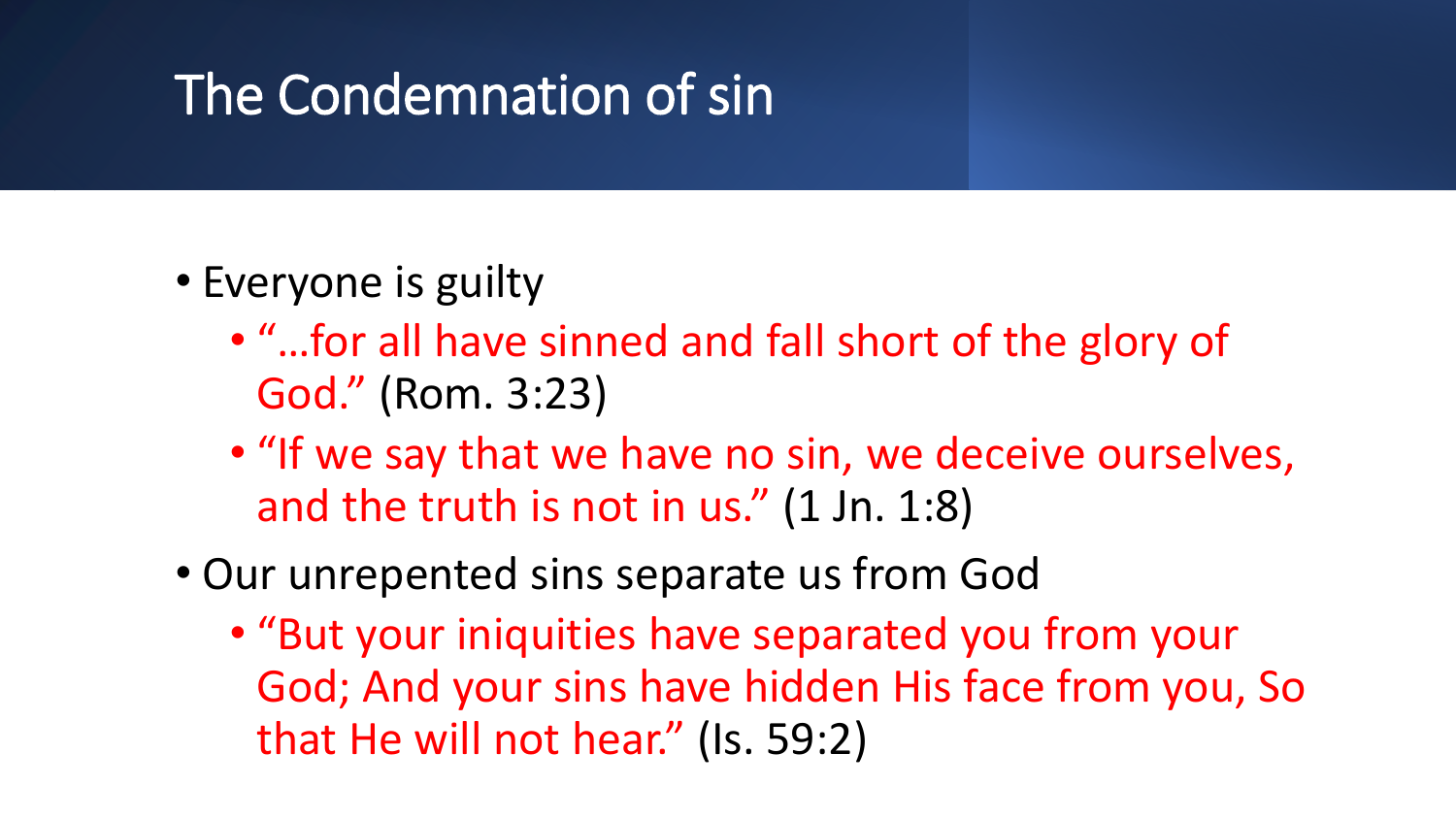#### The Condemnation of sin

- Everyone is guilty
	- "…for all have sinned and fall short of the glory of God." (Rom. 3:23)
	- "If we say that we have no sin, we deceive ourselves, and the truth is not in us." (1 Jn. 1:8)
- Our unrepented sins separate us from God
	- "But your iniquities have separated you from your God; And your sins have hidden His face from you, So that He will not hear." (Is. 59:2)